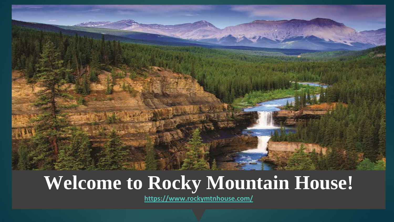

### **Welcome to Rocky Mountain House!**

**<https://www.rockymtnhouse.com/>**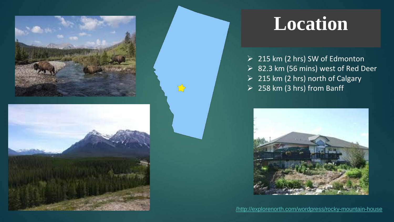

 $\sum$ 



## **Location**

 $\geq$  215 km (2 hrs) SW of Edmonton 82.3 km (56 mins) west of Red Deer  $\geq$  215 km (2 hrs) north of Calgary  $\geq$  258 km (3 hrs) from Banff



[/http://explorenorth.com/wordpress/rocky-mountain-house](http://explorenorth.com/wordpress/rocky-mountain-house/)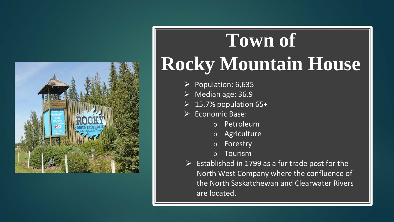

# **Town of Rocky Mountain House**

- $\triangleright$  Population: 6,635
- Median age: 36.9
- $\triangleright$  15.7% population 65+
- $\triangleright$  Economic Base:
	- o Petroleum
	- o Agriculture
	- o Forestry
	- o Tourism
- $\triangleright$  Established in 1799 as a fur trade post for the North West Company where the confluence of the North Saskatchewan and Clearwater Rivers are located.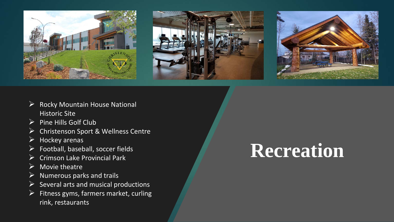





- $\triangleright$  Rocky Mountain House National **Historic Site**
- $\triangleright$  Pine Hills Golf Club
- Christenson Sport & Wellness Centre
- $\triangleright$  Hockey arenas
- $\triangleright$  Football, baseball, soccer fields
- $\triangleright$  Crimson Lake Provincial Park
- $\triangleright$  Movie theatre
- $\triangleright$  Numerous parks and trails
- $\triangleright$  Several arts and musical productions
- $\triangleright$  Fitness gyms, farmers market, curling rink, restaurants

## **Recreation**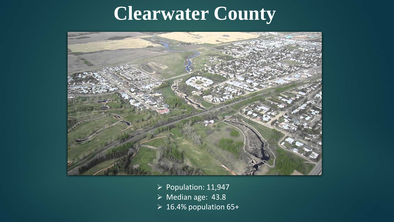## **Clearwater County**



- $\triangleright$  Population: 11,947
- Median age: 43.8
- $\triangleright$  16.4% population 65+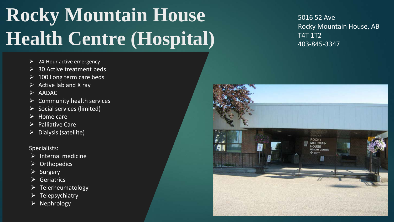## **Rocky Mountain House Health Centre (Hospital)**

- $\geq$  24-Hour active emergency
- $\geq$  30 Active treatment beds
- 100 Long term care beds
- $\triangleright$  Active lab and X ray
- $\triangleright$  AADAC
- Community health services
- $\triangleright$  Social services (limited)
- $\triangleright$  Home care
- Palliative Care
- Dialysis (satellite)

#### Specialists:

- $\triangleright$  Internal medicine
- $\triangleright$  Orthopedics
- $\triangleright$  Surgery
- $\triangleright$  Geriatrics
- $\triangleright$  Telerheumatology
- $\triangleright$  Telepsychiatry
- $\triangleright$  Nephrology

5016 52 Ave Rocky Mountain House, AB T4T 1T2 403-845-3347

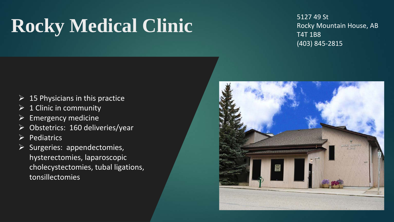## Rocky Medical Clinic 5127 49 St

#### Rocky Mountain House, AB T4T 1B8 (403) 845-2815

- $\geq$  15 Physicians in this practice
- $\triangleright$  1 Clinic in community
- $\triangleright$  Emergency medicine
- Obstetrics: 160 deliveries/year
- $\triangleright$  Pediatrics
- $\triangleright$  Surgeries: appendectomies, hysterectomies, laparoscopic cholecystectomies, tubal ligations, tonsillectomies